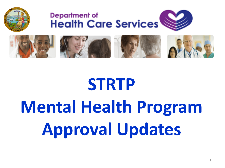



# **STRTP Mental Health Program Approval Updates**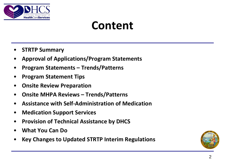

### **Content**

- **STRTP Summary**
- **Approval of Applications/Program Statements**
- **Program Statements – Trends/Patterns**
- **Program Statement Tips**
- **Onsite Review Preparation**
- **Onsite MHPA Reviews – Trends/Patterns**
- **Assistance with Self-Administration of Medication**
- **Medication Support Services**
- **Provision of Technical Assistance by DHCS**
- **What You Can Do**
- **Key Changes to Updated STRTP Interim Regulations**

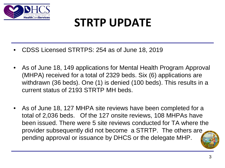

### **STRTP UPDATE**

- CDSS Licensed STRTPS: 254 as of June 18, 2019
- As of June 18, 149 applications for Mental Health Program Approval (MHPA) received for a total of 2329 beds. Six (6) applications are withdrawn (36 beds). One (1) is denied (100 beds). This results in a current status of 2193 STRTP MH beds.
- As of June 18, 127 MHPA site reviews have been completed for a total of 2,036 beds. Of the 127 onsite reviews, 108 MHPAs have been issued. There were 5 site reviews conducted for TA where the provider subsequently did not become a STRTP. The others are pending approval or issuance by DHCS or the delegate MHP.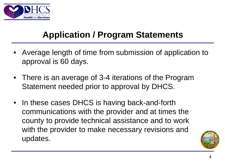

#### **Application / Program Statements**

- Average length of time from submission of application to approval is 60 days.
- There is an average of 3-4 iterations of the Program Statement needed prior to approval by DHCS.
- In these cases DHCS is having back-and-forth communications with the provider and at times the county to provide technical assistance and to work with the provider to make necessary revisions and updates.

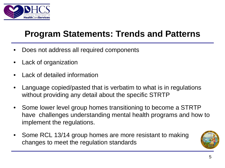

#### **Program Statements: Trends and Patterns**

- Does not address all required components
- Lack of organization
- Lack of detailed information
- Language copied/pasted that is verbatim to what is in regulations without providing any detail about the specific STRTP
- Some lower level group homes transitioning to become a STRTP have challenges understanding mental health programs and how to implement the regulations.
- Some RCL 13/14 group homes are more resistant to making changes to meet the regulation standards

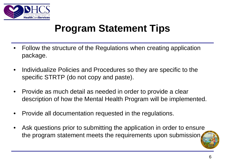

### **Program Statement Tips**

- Follow the structure of the Regulations when creating application package.
- Individualize Policies and Procedures so they are specific to the specific STRTP (do not copy and paste).
- Provide as much detail as needed in order to provide a clear description of how the Mental Health Program will be implemented.
- Provide all documentation requested in the regulations.
- Ask questions prior to submitting the application in order to ensure the program statement meets the requirements upon submission.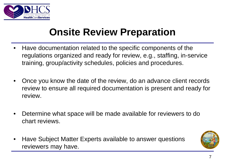

### **Onsite Review Preparation**

- Have documentation related to the specific components of the regulations organized and ready for review, e.g., staffing, in-service training, group/activity schedules, policies and procedures.
- Once you know the date of the review, do an advance client records review to ensure all required documentation is present and ready for review.
- Determine what space will be made available for reviewers to do chart reviews.
- Have Subject Matter Experts available to answer questions reviewers may have.

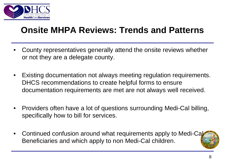

#### **Onsite MHPA Reviews: Trends and Patterns**

- County representatives generally attend the onsite reviews whether or not they are a delegate county.
- Existing documentation not always meeting regulation requirements. DHCS recommendations to create helpful forms to ensure documentation requirements are met are not always well received.
- Providers often have a lot of questions surrounding Medi-Cal billing, specifically how to bill for services.
- Continued confusion around what requirements apply to Medi-Cal Beneficiaries and which apply to non Medi-Cal children.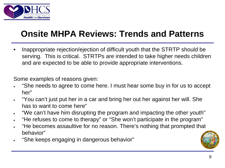

#### **Onsite MHPA Reviews: Trends and Patterns**

• Inappropriate rejection/ejection of difficult youth that the STRTP should be serving. This is critical. STRTPs are intended to take higher needs children and are expected to be able to provide appropriate interventions.

Some examples of reasons given:

- "She needs to agree to come here. I must hear some buy in for us to accept her"
- "You can't just put her in a car and bring her out her against her will. She has to want to come here"
- "We can't have him disrupting the program and impacting the other youth"
- "He refuses to come to therapy" or "She won't participate in the program"
- "He becomes assaultive for no reason. There's nothing that prompted that behavior"
- "She keeps engaging in dangerous behavior"

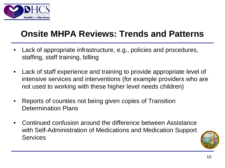

#### **Onsite MHPA Reviews: Trends and Patterns**

- Lack of appropriate infrastructure, e.g., policies and procedures, staffing, staff training, billing
- Lack of staff experience and training to provide appropriate level of intensive services and interventions (for example providers who are not used to working with these higher level needs children)
- Reports of counties not being given copies of Transition Determination Plans
- Continued confusion around the difference between Assistance with Self-Administration of Medications and Medication Support **Services**

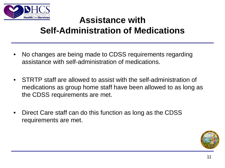

#### **Assistance with Self-Administration of Medications**

- No changes are being made to CDSS requirements regarding assistance with self-administration of medications.
- STRTP staff are allowed to assist with the self-administration of medications as group home staff have been allowed to as long as the CDSS requirements are met.
- Direct Care staff can do this function as long as the CDSS requirements are met.

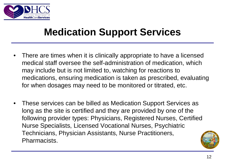

### **Medication Support Services**

- There are times when it is clinically appropriate to have a licensed medical staff oversee the self-administration of medication, which may include but is not limited to, watching for reactions to medications, ensuring medication is taken as prescribed, evaluating for when dosages may need to be monitored or titrated, etc.
- These services can be billed as Medication Support Services as long as the site is certified and they are provided by one of the following provider types: Physicians, Registered Nurses, Certified Nurse Specialists, Licensed Vocational Nurses, Psychiatric Technicians, Physician Assistants, Nurse Practitioners, Pharmacists.

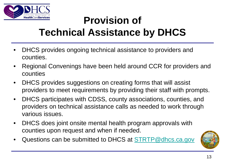

### **Provision of Technical Assistance by DHCS**

- DHCS provides ongoing technical assistance to providers and counties.
- Regional Convenings have been held around CCR for providers and counties
- DHCS provides suggestions on creating forms that will assist providers to meet requirements by providing their staff with prompts.
- DHCS participates with CDSS, county associations, counties, and providers on technical assistance calls as needed to work through various issues.
- DHCS does joint onsite mental health program approvals with counties upon request and when if needed.
- Questions can be submitted to DHCS at **[STRTP@dhcs.ca.gov](mailto:STRTP@dhcs.ca.gov)**

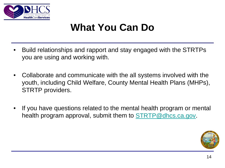

### **What You Can Do**

- Build relationships and rapport and stay engaged with the STRTPs you are using and working with.
- Collaborate and communicate with the all systems involved with the youth, including Child Welfare, County Mental Health Plans (MHPs), STRTP providers.
- If you have questions related to the mental health program or mental health program approval, submit them to [STRTP@dhcs.ca.gov.](mailto:STRTP@dhcs.ca.gov)

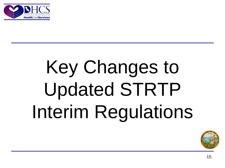

# Key Changes to Updated STRTP Interim Regulations

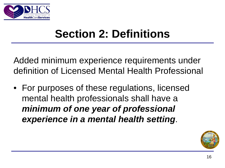

### **Section 2: Definitions**

Added minimum experience requirements under definition of Licensed Mental Health Professional

• For purposes of these regulations, licensed mental health professionals shall have a *minimum of one year of professional experience in a mental health setting*.

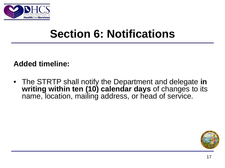

### **Section 6: Notifications**

#### **Added timeline:**

• The STRTP shall notify the Department and delegate **in writing within ten (10) calendar days** of changes to its name, location, mailing address, or head of service.

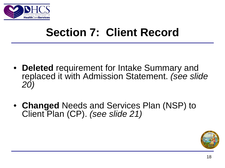

### **Section 7: Client Record**

- **Deleted** requirement for Intake Summary and replaced it with Admission Statement. *(see slide 20)*
- **Changed** Needs and Services Plan (NSP) to Client Plan (CP). *(see slide 21)*

![](_page_17_Picture_4.jpeg)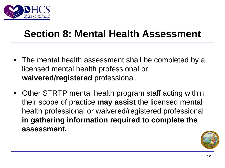![](_page_18_Picture_0.jpeg)

### **Section 8: Mental Health Assessment**

- The mental health assessment shall be completed by a licensed mental health professional or **waivered/registered** professional.
- Other STRTP mental health program staff acting within their scope of practice **may assist** the licensed mental health professional or waivered/registered professional **in gathering information required to complete the assessment.**

![](_page_18_Picture_4.jpeg)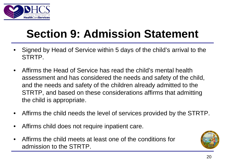![](_page_19_Picture_0.jpeg)

## **Section 9: Admission Statement**

- Signed by Head of Service within 5 days of the child's arrival to the STRTP.
- Affirms the Head of Service has read the child's mental health assessment and has considered the needs and safety of the child, and the needs and safety of the children already admitted to the STRTP, and based on these considerations affirms that admitting the child is appropriate.
- Affirms the child needs the level of services provided by the STRTP.
- Affirms child does not require inpatient care.
- Affirms the child meets at least one of the conditions for admission to the STRTP.

![](_page_19_Picture_7.jpeg)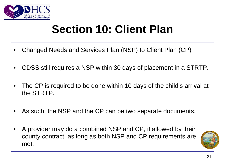![](_page_20_Picture_0.jpeg)

### **Section 10: Client Plan**

- Changed Needs and Services Plan (NSP) to Client Plan (CP)
- CDSS still requires a NSP within 30 days of placement in a STRTP.
- The CP is required to be done within 10 days of the child's arrival at the STRTP.
- As such, the NSP and the CP can be two separate documents.
- A provider may do a combined NSP and CP, if allowed by their county contract, as long as both NSP and CP requirements are met.

![](_page_20_Picture_7.jpeg)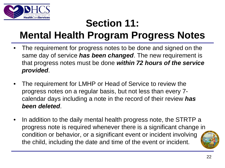![](_page_21_Picture_0.jpeg)

### **Section 11:**

### **Mental Health Program Progress Notes**

- The requirement for progress notes to be done and signed on the same day of service *has been changed*. The new requirement is that progress notes must be done *within 72 hours of the service provided*.
- The requirement for LMHP or Head of Service to review the progress notes on a regular basis, but not less than every 7 calendar days including a note in the record of their review *has been deleted*.
- In addition to the daily mental health progress note, the STRTP a progress note is required whenever there is a significant change in condition or behavior, or a significant event or incident involving the child, including the date and time of the event or incident.

![](_page_21_Picture_6.jpeg)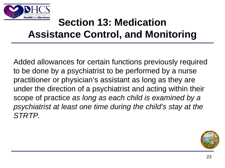![](_page_22_Picture_0.jpeg)

### **Section 13: Medication Assistance Control, and Monitoring**

Added allowances for certain functions previously required to be done by a psychiatrist to be performed by a nurse practitioner or physician's assistant as long as they are under the direction of a psychiatrist and acting within their scope of practice *as long as each child is examined by a psychiatrist at least one time during the child's stay at the STRTP.*

![](_page_22_Picture_3.jpeg)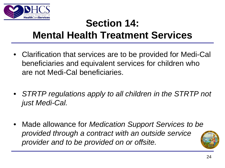![](_page_23_Picture_0.jpeg)

### **Section 14: Mental Health Treatment Services**

- Clarification that services are to be provided for Medi-Cal beneficiaries and equivalent services for children who are not Medi-Cal beneficiaries.
- *STRTP regulations apply to all children in the STRTP not just Medi-Cal.*
- Made allowance for *Medication Support Services to be provided through a contract with an outside service provider and to be provided on or offsite.*

![](_page_23_Picture_5.jpeg)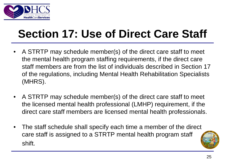![](_page_24_Picture_0.jpeg)

## **Section 17: Use of Direct Care Staff**

- A STRTP may schedule member(s) of the direct care staff to meet the mental health program staffing requirements, if the direct care staff members are from the list of individuals described in Section 17 of the regulations, including Mental Health Rehabilitation Specialists (MHRS).
- A STRTP may schedule member(s) of the direct care staff to meet the licensed mental health professional (LMHP) requirement, if the direct care staff members are licensed mental health professionals.
- The staff schedule shall specify each time a member of the direct care staff is assigned to a STRTP mental health program staff shift.

![](_page_24_Picture_5.jpeg)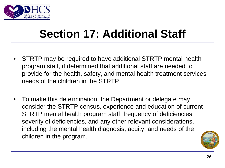![](_page_25_Picture_0.jpeg)

### **Section 17: Additional Staff**

- STRTP may be required to have additional STRTP mental health program staff, if determined that additional staff are needed to provide for the health, safety, and mental health treatment services needs of the children in the STRTP
- To make this determination, the Department or delegate may consider the STRTP census, experience and education of current STRTP mental health program staff, frequency of deficiencies, severity of deficiencies, and any other relevant considerations, including the mental health diagnosis, acuity, and needs of the children in the program.

![](_page_25_Picture_4.jpeg)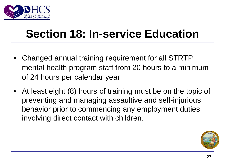![](_page_26_Picture_0.jpeg)

## **Section 18: In-service Education**

- Changed annual training requirement for all STRTP mental health program staff from 20 hours to a minimum of 24 hours per calendar year
- At least eight (8) hours of training must be on the topic of preventing and managing assaultive and self-injurious behavior prior to commencing any employment duties involving direct contact with children.

![](_page_26_Picture_4.jpeg)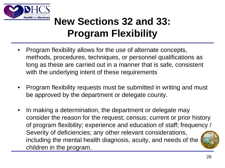![](_page_27_Picture_0.jpeg)

### **New Sections 32 and 33: Program Flexibility**

- Program flexibility allows for the use of alternate concepts, methods, procedures, techniques, or personnel qualifications as long as these are carried out in a manner that is safe, consistent with the underlying intent of these requirements
- Program flexibility requests must be submitted in writing and must be approved by the department or delegate county.
- In making a determination, the department or delegate may consider the reason for the request; census; current or prior history of program flexibility; experience and education of staff; frequency / Severity of deficiencies; any other relevant considerations, including the mental health diagnosis, acuity, and needs of the children in the program.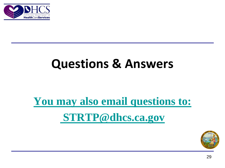![](_page_28_Picture_0.jpeg)

## **Questions & Answers**

### **[You may also email questions to:](mailto:strtp@dhcs.ca.gov) [STRTP@dhcs.ca.gov](mailto:strtp@dhcs.ca.gov)**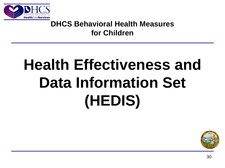![](_page_29_Picture_0.jpeg)

#### **DHCS Behavioral Health Measures for Children**

# **Health Effectiveness and Data Information Set (HEDIS)**

![](_page_29_Picture_3.jpeg)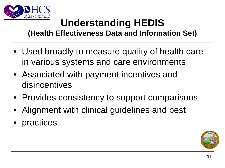![](_page_30_Picture_0.jpeg)

#### **Understanding HEDIS (Health Effectiveness Data and Information Set)**

- Used broadly to measure quality of health care in various systems and care environments
- Associated with payment incentives and disincentives
- Provides consistency to support comparisons
- Alignment with clinical guidelines and best
- practices

![](_page_30_Picture_7.jpeg)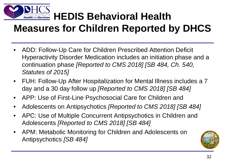![](_page_31_Picture_0.jpeg)

#### **HEDIS Behavioral Health**  California Department of **Measures for Children Reported by DHCS**

- ADD: Follow-Up Care for Children Prescribed Attention Deficit Hyperactivity Disorder Medication includes an initiation phase and a continuation phase *[Reported to CMS 2018] [SB 484, Ch. 540, Statutes of 2015]*
- FUH: Follow-Up After Hospitalization for Mental Illness includes a 7 day and a 30 day follow up *[Reported to CMS 2018] [SB 484]*
- APP: Use of First-Line Psychosocial Care for Children and
- Adolescents on Antipsychotics *[Reported to CMS 2018] [SB 484]*
- APC: Use of Multiple Concurrent Antipsychotics in Children and Adolescents *[Reported to CMS 2018] [SB 484]*
- APM: Metabolic Monitoring for Children and Adolescents on Antipsychotics *[SB 484]*

![](_page_31_Picture_8.jpeg)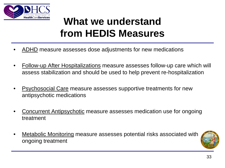![](_page_32_Picture_0.jpeg)

### **What we understand from HEDIS Measures**

- ADHD measure assesses dose adjustments for new medications
- Follow-up After Hospitalizations measure assesses follow-up care which will assess stabilization and should be used to help prevent re-hospitalization
- Psychosocial Care measure assesses supportive treatments for new antipsychotic medications
- Concurrent Antipsychotic measure assesses medication use for ongoing treatment
- Metabolic Monitoring measure assesses potential risks associated with ongoing treatment

![](_page_32_Picture_7.jpeg)